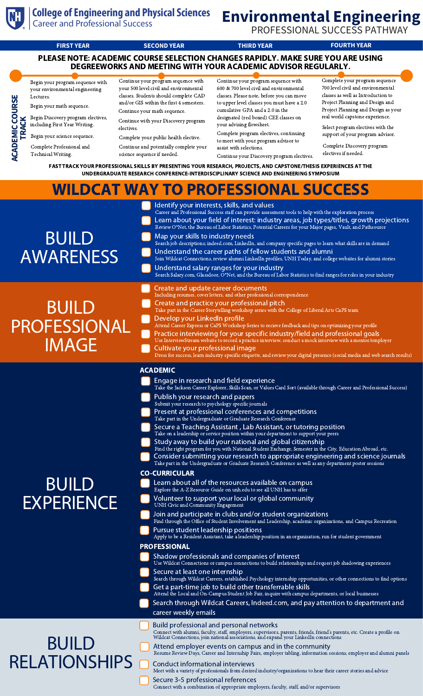



**College of Engineering and Physical Sciences Career and Professional Success** PROFESSIONAL SUCCESS PATHWAY **FIRST YEAR SECOND YEAR THIRD YEAR FOURTH YEAR** PLEASE NOTE: ACADEMIC COURSE SELECTION CHANGES RAPIDLY. MAKE SURE YOU ARE USING DEGREEWORKS AND MEETING WITH YOUR ACADEMIC ADVISOR REGULARLY. Complete your program sequence Continue your program sequence with Continue your program sequence with Begin your program sequence with 700 level civil and environmental your 500 level civil and environmental 600 & 700 level civil and environmental your environmental engineering classes as well as Introduction to classes. Students should complete CAD classes. Please note, before you can move Lectures. **COURSE**Project Planning and Design and and/or GIS within the first 4 semesters. to upper level classes you must have a 2.0 Begin your math sequence. Project Planning and Design as your cumulative GPA and a 2.0 in the Continue your math sequence. real world capstone experience. Begin Discovery program electives, designated (red boxed) CEE classes on **K**Continue with your Discovery program **RAC**including First Year Writing. your advising flowsheet. Select program electives with the **ACA DEMIC** electives. Complete program electives, continuing support of your program advisor. Begin your science sequence. Complete your public health elective. **T**to meet with your program advisor to Complete Discovery program Complete Professional and Continue and potentially complete your assist with selections. electives if needed. Technical Writing. science sequence if needed. Continue your Discovery program electives. FAST TRACK YOUR PROFESSIONAL SKILLS BY PRESENTING YOUR RESEARCH, PROJECTS, AND CAPSTONE/THESIS EXPERIENCES AT THE UNDERGRADUATE RESEARCH CONFERENCE-INTERDISCIPLINARY SCIENCE AND ENGINEERING SYMPOSIUM WILDCAT WAY TO PROFESSIONAL SUCCESS ldentify your interests, skills, and values<br>Career and Professional Success staff can provide assessment tools to help with the exploration process Learn about your field of interest: industry areas, job types/titles, growth projections Review O\*Net, the Bureau of Labor Statistics, Potential Careers for your Major pages, Vault, and Pathsource BUILD Map your skills to industry needs  $\frac{1}{2}$  job descriptions; indeed.com, LinkedIn, and company specific pages to learn what skills are in demand AWARENESS Understand the career paths of fellow students and alumni Join Wildcat Connections, review alumni LinkedIn profiles, UNH Today, and college websites for alumni stories Understand salary ranges for your industry Search Salary.com, Glassdoor, O\*Net, and the Bureau of Labor Statistics to find ranges for roles in your industry Create and update career documents<br>Including resumes, cover letters, and other professior sional correspondence Create and practice your professional pitch BUILD Take part in the Career Storytelling workshop series with the College of Liberal Arts CaPS team Develop your LinkedIn profile PROFESSIONAL Attend Career Express or CaPS Workshop Series to recieve feedback and tips on optimizing your profile Practice interviewing for your specific industry/field and professional goals<br>Use InterviewStream website to record a practice interview, conduct a mock interview with a mentor/employer **IMAGE** wStream website to record a practice interview, conduct a mentor Cultivate your professional image ss, learn industry specific etiquette, and review your digital presence (social media and web search results) ACADEMIC Engage in research and field experience Take the Jackson Career Explorer, Skills Scan, or Values Card Sort (available through Career and Professional Success) Publish your research and papers Submit your research to psychology specific journals Present at professional conferences and competitions Take part in the Undergraduate or Graduate Research Conference Secure a Teaching Assistant , Lab Assistant, or tutoring position Take on a leadership or service position within your department to support your peers Study away to build your national and global citizenship Find the right program for you with National Student Exchange, Semester in the City, Education Abroad, etc. Consider submitting your research to appropriate engineering and science journals Take part in the Undergraduate or Graduate Research Conference as well as any department poster sessio CO-CURRICULAR BUILD Learn about all of the resources available on campus Explore the A-Z Resource Guide on unh.edu to see all UNH has to offer **EXPERIENCE** Volunteer to support your local or global community UNH Civic and Community Engagement Join and participate in clubs and/or student organizations Find through the Office of Student Involvement and Leadership, academic organizations, and Campus Recreation Pursue student leadership positions Apply to be a Resident Assistant, take a leadership position in an organization, run for student government PROFESSIONAL Shadow professionals and companies of interest Use Wildcat Connections or campus connections to build relationships and request job shadowing experiences Secure at least one internship Search through Wildcat Careers, established Psychology internship opportunities, or other connections to find options Get a part-time job to build other transferrable skills Attend the Local and On-Campus Student Job Fair, inquire with campus departments, or local businesses

Search through Wildcat Careers, Indeed.com, and pay attention to department and career weekly emails

Build professional and personal networks Connect with alumni, faculty, staff, employers, supervisors, parents, friends, friend's parents, etc. Create <sup>a</sup> profile on Wildcat Connections, join national associations, and expand your LinkedIn connections Attend employer events on campus and in the community Resume Review Days, Career and Internship Fairs, employer tabling, information sessions, employer and alumni panels Conduct informational interviews BUILD RELATIONSHIPS

Meet with a variety of professionals from desired industry/organizations to hear their career stories and advice

Secure 3-5 professional references Connect with a combination of appropriate employers, faculty, staff, and/or supervisors